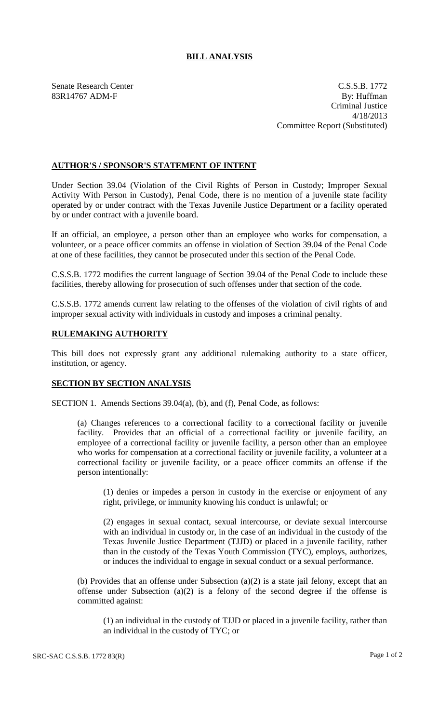## **BILL ANALYSIS**

Senate Research Center C.S.S.B. 1772 83R14767 ADM-F By: Huffman Criminal Justice 4/18/2013 Committee Report (Substituted)

## **AUTHOR'S / SPONSOR'S STATEMENT OF INTENT**

Under Section 39.04 (Violation of the Civil Rights of Person in Custody; Improper Sexual Activity With Person in Custody), Penal Code, there is no mention of a juvenile state facility operated by or under contract with the Texas Juvenile Justice Department or a facility operated by or under contract with a juvenile board.

If an official, an employee, a person other than an employee who works for compensation, a volunteer, or a peace officer commits an offense in violation of Section 39.04 of the Penal Code at one of these facilities, they cannot be prosecuted under this section of the Penal Code.

C.S.S.B. 1772 modifies the current language of Section 39.04 of the Penal Code to include these facilities, thereby allowing for prosecution of such offenses under that section of the code.

C.S.S.B. 1772 amends current law relating to the offenses of the violation of civil rights of and improper sexual activity with individuals in custody and imposes a criminal penalty.

## **RULEMAKING AUTHORITY**

This bill does not expressly grant any additional rulemaking authority to a state officer, institution, or agency.

## **SECTION BY SECTION ANALYSIS**

SECTION 1. Amends Sections 39.04(a), (b), and (f), Penal Code, as follows:

(a) Changes references to a correctional facility to a correctional facility or juvenile facility. Provides that an official of a correctional facility or juvenile facility, an employee of a correctional facility or juvenile facility, a person other than an employee who works for compensation at a correctional facility or juvenile facility, a volunteer at a correctional facility or juvenile facility, or a peace officer commits an offense if the person intentionally:

(1) denies or impedes a person in custody in the exercise or enjoyment of any right, privilege, or immunity knowing his conduct is unlawful; or

(2) engages in sexual contact, sexual intercourse, or deviate sexual intercourse with an individual in custody or, in the case of an individual in the custody of the Texas Juvenile Justice Department (TJJD) or placed in a juvenile facility, rather than in the custody of the Texas Youth Commission (TYC), employs, authorizes, or induces the individual to engage in sexual conduct or a sexual performance.

(b) Provides that an offense under Subsection (a)(2) is a state jail felony, except that an offense under Subsection (a)(2) is a felony of the second degree if the offense is committed against:

(1) an individual in the custody of TJJD or placed in a juvenile facility, rather than an individual in the custody of TYC; or